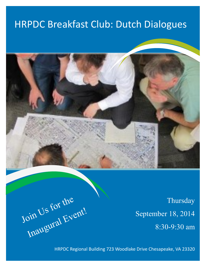## HRPDC Breakfast Club: Dutch Dialogues



**Thursday** September 18, 2014 8:30-9:30 am

Join Us for the in Us Luis Event!

HRPDC Regional Building 723 Woodlake Drive Chesapeake, VA 23320